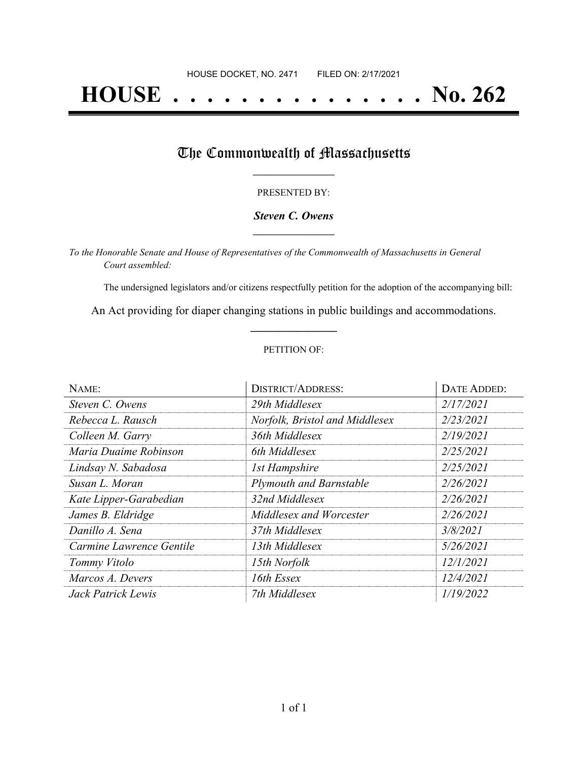# **HOUSE . . . . . . . . . . . . . . . No. 262**

## The Commonwealth of Massachusetts

#### PRESENTED BY:

#### *Steven C. Owens* **\_\_\_\_\_\_\_\_\_\_\_\_\_\_\_\_\_**

*To the Honorable Senate and House of Representatives of the Commonwealth of Massachusetts in General Court assembled:*

The undersigned legislators and/or citizens respectfully petition for the adoption of the accompanying bill:

An Act providing for diaper changing stations in public buildings and accommodations. **\_\_\_\_\_\_\_\_\_\_\_\_\_\_\_**

#### PETITION OF:

| NAME:                    | <b>DISTRICT/ADDRESS:</b>       | DATE ADDED: |
|--------------------------|--------------------------------|-------------|
| Steven C. Owens          | 29th Middlesex                 | 2/17/2021   |
| Rebecca L. Rausch        | Norfolk, Bristol and Middlesex | 2/23/2021   |
| Colleen M. Garry         | 36th Middlesex                 | 2/19/2021   |
| Maria Duaime Robinson    | 6th Middlesex                  | 2/25/2021   |
| Lindsay N. Sabadosa      | <b>1st Hampshire</b>           | 2/25/2021   |
| Susan L. Moran           | <b>Plymouth and Barnstable</b> | 2/26/2021   |
| Kate Lipper-Garabedian   | 32nd Middlesex                 | 2/26/2021   |
| James B. Eldridge        | Middlesex and Worcester        | 2/26/2021   |
| Danillo A. Sena          | 37th Middlesex                 | 3/8/2021    |
| Carmine Lawrence Gentile | 13th Middlesex                 | 5/26/2021   |
| Tommy Vitolo             | 15th Norfolk                   | 12/1/2021   |
| Marcos A. Devers         | 16th Essex                     | 12/4/2021   |
| Jack Patrick Lewis       | 7th Middlesex                  | 1/19/2022   |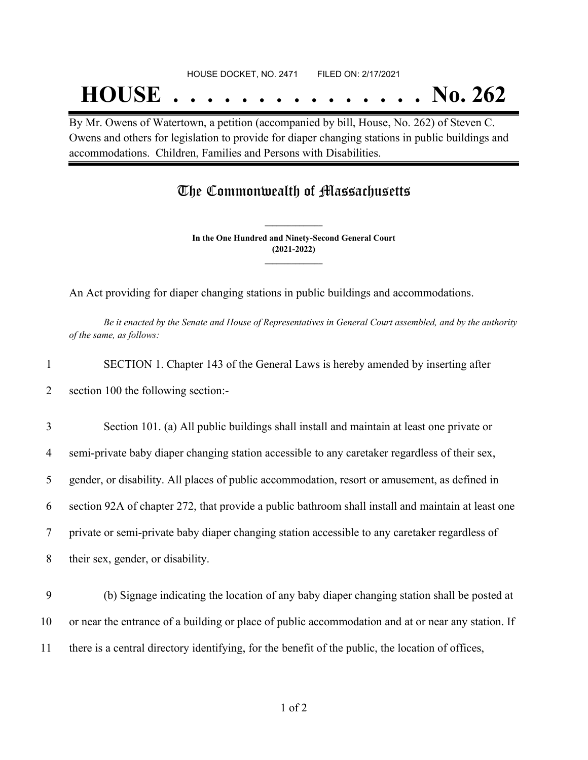## HOUSE DOCKET, NO. 2471 FILED ON: 2/17/2021

## **HOUSE . . . . . . . . . . . . . . . No. 262**

By Mr. Owens of Watertown, a petition (accompanied by bill, House, No. 262) of Steven C. Owens and others for legislation to provide for diaper changing stations in public buildings and accommodations. Children, Families and Persons with Disabilities.

### The Commonwealth of Massachusetts

**In the One Hundred and Ninety-Second General Court (2021-2022) \_\_\_\_\_\_\_\_\_\_\_\_\_\_\_**

**\_\_\_\_\_\_\_\_\_\_\_\_\_\_\_**

An Act providing for diaper changing stations in public buildings and accommodations.

Be it enacted by the Senate and House of Representatives in General Court assembled, and by the authority *of the same, as follows:*

1 SECTION 1. Chapter 143 of the General Laws is hereby amended by inserting after

2 section 100 the following section:-

 Section 101. (a) All public buildings shall install and maintain at least one private or semi-private baby diaper changing station accessible to any caretaker regardless of their sex, gender, or disability. All places of public accommodation, resort or amusement, as defined in section 92A of chapter 272, that provide a public bathroom shall install and maintain at least one private or semi-private baby diaper changing station accessible to any caretaker regardless of their sex, gender, or disability.

9 (b) Signage indicating the location of any baby diaper changing station shall be posted at 10 or near the entrance of a building or place of public accommodation and at or near any station. If 11 there is a central directory identifying, for the benefit of the public, the location of offices,